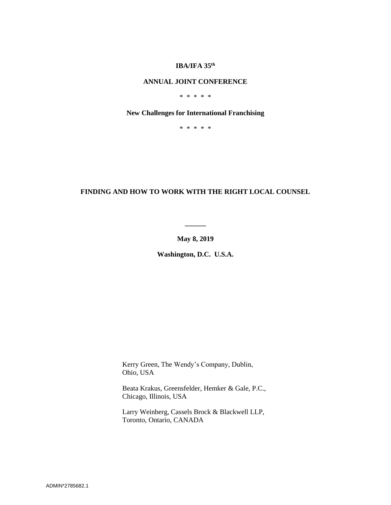### **IBA/IFA 35 th**

# **ANNUAL JOINT CONFERENCE**

\* \* \* \* \*

### **New Challenges for International Franchising**

\* \* \* \* \*

# **FINDING AND HOW TO WORK WITH THE RIGHT LOCAL COUNSEL**

**May 8, 2019**

**\_\_\_\_\_\_**

**Washington, D.C. U.S.A.**

Kerry Green, The Wendy's Company, Dublin, Ohio, USA

Beata Krakus, Greensfelder, Hemker & Gale, P.C., Chicago, Illinois, USA

Larry Weinberg, Cassels Brock & Blackwell LLP, Toronto, Ontario, CANADA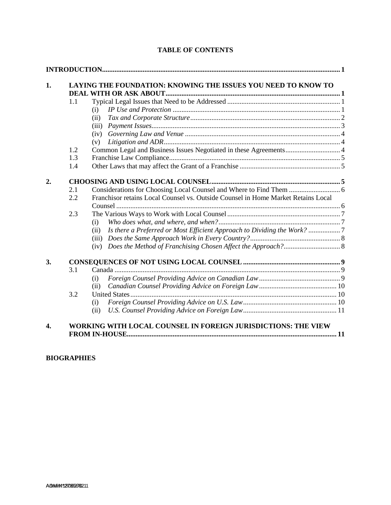| 1. | LAYING THE FOUNDATION: KNOWING THE ISSUES YOU NEED TO KNOW TO |                                                                                   |  |
|----|---------------------------------------------------------------|-----------------------------------------------------------------------------------|--|
|    |                                                               |                                                                                   |  |
|    | 1.1                                                           |                                                                                   |  |
|    |                                                               | (i)                                                                               |  |
|    |                                                               | (ii)                                                                              |  |
|    |                                                               | (iii)                                                                             |  |
|    |                                                               | (iv)                                                                              |  |
|    |                                                               | (v)                                                                               |  |
|    | 1.2                                                           | Common Legal and Business Issues Negotiated in these Agreements 4                 |  |
|    | 1.3                                                           |                                                                                   |  |
|    | 1.4                                                           |                                                                                   |  |
| 2. |                                                               |                                                                                   |  |
|    | 2.1                                                           |                                                                                   |  |
|    | 2.2                                                           | Franchisor retains Local Counsel vs. Outside Counsel in Home Market Retains Local |  |
|    |                                                               |                                                                                   |  |
|    | 2.3                                                           |                                                                                   |  |
|    |                                                               | (i)                                                                               |  |
|    |                                                               | Is there a Preferred or Most Efficient Approach to Dividing the Work?<br>(ii)     |  |
|    |                                                               | (iii)                                                                             |  |
|    |                                                               | (iv)                                                                              |  |
| 3. |                                                               |                                                                                   |  |
|    | 3.1                                                           |                                                                                   |  |
|    |                                                               | (i)                                                                               |  |
|    |                                                               | (ii)                                                                              |  |
|    | 3.2                                                           |                                                                                   |  |
|    |                                                               | (i)                                                                               |  |
|    |                                                               | (ii)                                                                              |  |

# **TABLE OF CONTENTS**

**[FROM IN-HOUSE.......................................................................................................................](#page-12-1) 11**

# **BIOGRAPHIES**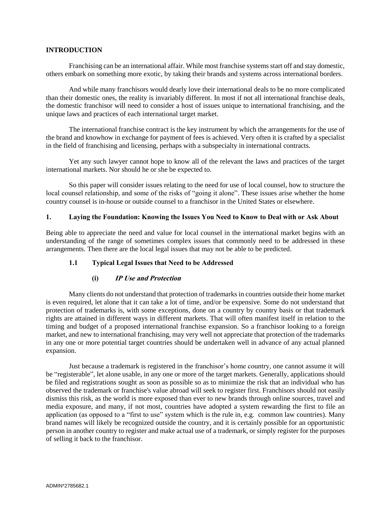### <span id="page-2-0"></span>**INTRODUCTION**

Franchising can be an international affair. While most franchise systems start off and stay domestic, others embark on something more exotic, by taking their brands and systems across international borders.

And while many franchisors would dearly love their international deals to be no more complicated than their domestic ones, the reality is invariably different. In most if not all international franchise deals, the domestic franchisor will need to consider a host of issues unique to international franchising, and the unique laws and practices of each international target market.

The international franchise contract is the key instrument by which the arrangements for the use of the brand and knowhow in exchange for payment of fees is achieved. Very often it is crafted by a specialist in the field of franchising and licensing, perhaps with a subspecialty in international contracts.

Yet any such lawyer cannot hope to know all of the relevant the laws and practices of the target international markets. Nor should he or she be expected to.

So this paper will consider issues relating to the need for use of local counsel, how to structure the local counsel relationship, and some of the risks of "going it alone". These issues arise whether the home country counsel is in-house or outside counsel to a franchisor in the United States or elsewhere.

### <span id="page-2-1"></span>**1. Laying the Foundation: Knowing the Issues You Need to Know to Deal with or Ask About**

Being able to appreciate the need and value for local counsel in the international market begins with an understanding of the range of sometimes complex issues that commonly need to be addressed in these arrangements. Then there are the local legal issues that may not be able to be predicted.

### <span id="page-2-2"></span>**1.1 Typical Legal Issues that Need to be Addressed**

### **(i) IP Use and Protection**

<span id="page-2-3"></span>Many clients do not understand that protection of trademarks in countries outside their home market is even required, let alone that it can take a lot of time, and/or be expensive. Some do not understand that protection of trademarks is, with some exceptions, done on a country by country basis or that trademark rights are attained in different ways in different markets. That will often manifest itself in relation to the timing and budget of a proposed international franchise expansion. So a franchisor looking to a foreign market, and new to international franchising, may very well not appreciate that protection of the trademarks in any one or more potential target countries should be undertaken well in advance of any actual planned expansion.

Just because a trademark is registered in the franchisor's home country, one cannot assume it will be "registerable", let alone usable, in any one or more of the target markets. Generally, applications should be filed and registrations sought as soon as possible so as to minimize the risk that an individual who has observed the trademark or franchise's value abroad will seek to register first. Franchisors should not easily dismiss this risk, as the world is more exposed than ever to new brands through online sources, travel and media exposure, and many, if not most, countries have adopted a system rewarding the first to file an application (as opposed to a "first to use" system which is the rule in, e.g. common law countries). Many brand names will likely be recognized outside the country, and it is certainly possible for an opportunistic person in another country to register and make actual use of a trademark, or simply register for the purposes of selling it back to the franchisor.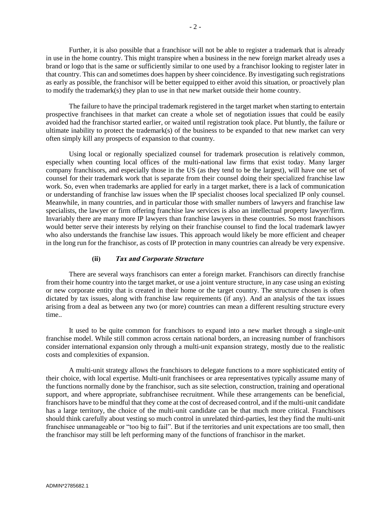Further, it is also possible that a franchisor will not be able to register a trademark that is already in use in the home country. This might transpire when a business in the new foreign market already uses a brand or logo that is the same or sufficiently similar to one used by a franchisor looking to register later in that country. This can and sometimes does happen by sheer coincidence. By investigating such registrations as early as possible, the franchisor will be better equipped to either avoid this situation, or proactively plan to modify the trademark(s) they plan to use in that new market outside their home country.

The failure to have the principal trademark registered in the target market when starting to entertain prospective franchisees in that market can create a whole set of negotiation issues that could be easily avoided had the franchisor started earlier, or waited until registration took place. Put bluntly, the failure or ultimate inability to protect the trademark(s) of the business to be expanded to that new market can very often simply kill any prospects of expansion to that country.

Using local or regionally specialized counsel for trademark prosecution is relatively common, especially when counting local offices of the multi-national law firms that exist today. Many larger company franchisors, and especially those in the US (as they tend to be the largest), will have one set of counsel for their trademark work that is separate from their counsel doing their specialized franchise law work. So, even when trademarks are applied for early in a target market, there is a lack of communication or understanding of franchise law issues when the IP specialist chooses local specialized IP only counsel. Meanwhile, in many countries, and in particular those with smaller numbers of lawyers and franchise law specialists, the lawyer or firm offering franchise law services is also an intellectual property lawyer/firm. Invariably there are many more IP lawyers than franchise lawyers in these countries. So most franchisors would better serve their interests by relying on their franchise counsel to find the local trademark lawyer who also understands the franchise law issues. This approach would likely be more efficient and cheaper in the long run for the franchisor, as costs of IP protection in many countries can already be very expensive.

#### **(ii) Tax and Corporate Structure**

<span id="page-3-0"></span>There are several ways franchisors can enter a foreign market. Franchisors can directly franchise from their home country into the target market, or use a joint venture structure, in any case using an existing or new corporate entity that is created in their home or the target country. The structure chosen is often dictated by tax issues, along with franchise law requirements (if any). And an analysis of the tax issues arising from a deal as between any two (or more) countries can mean a different resulting structure every time..

It used to be quite common for franchisors to expand into a new market through a single-unit franchise model. While still common across certain national borders, an increasing number of franchisors consider international expansion only through a multi-unit expansion strategy, mostly due to the realistic costs and complexities of expansion.

A multi-unit strategy allows the franchisors to delegate functions to a more sophisticated entity of their choice, with local expertise. Multi-unit franchisees or area representatives typically assume many of the functions normally done by the franchisor, such as site selection, construction, training and operational support, and where appropriate, subfranchisee recruitment. While these arrangements can be beneficial, franchisors have to be mindful that they come at the cost of decreased control, and if the multi-unit candidate has a large territory, the choice of the multi-unit candidate can be that much more critical. Franchisors should think carefully about vesting so much control in unrelated third-parties, lest they find the multi-unit franchisee unmanageable or "too big to fail". But if the territories and unit expectations are too small, then the franchisor may still be left performing many of the functions of franchisor in the market.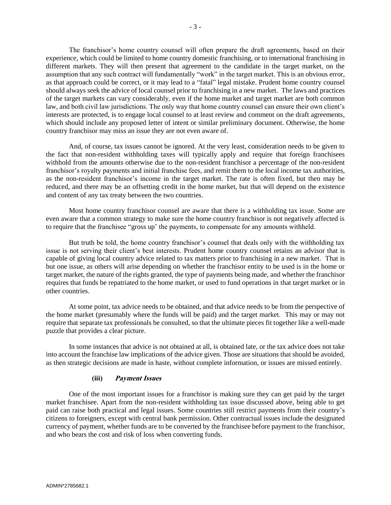The franchisor's home country counsel will often prepare the draft agreements, based on their experience, which could be limited to home country domestic franchising, or to international franchising in different markets. They will then present that agreement to the candidate in the target market, on the assumption that any such contract will fundamentally "work" in the target market. This is an obvious error, as that approach could be correct, or it may lead to a "fatal" legal mistake. Prudent home country counsel should always seek the advice of local counsel prior to franchising in a new market. The laws and practices of the target markets can vary considerably, even if the home market and target market are both common law, and both civil law jurisdictions. The only way that home country counsel can ensure their own client's interests are protected, is to engage local counsel to at least review and comment on the draft agreements, which should include any proposed letter of intent or similar preliminary document. Otherwise, the home country franchisor may miss an issue they are not even aware of.

And, of course, tax issues cannot be ignored. At the very least, consideration needs to be given to the fact that non-resident withholding taxes will typically apply and require that foreign franchisees withhold from the amounts otherwise due to the non-resident franchisor a percentage of the non-resident franchisor's royalty payments and initial franchise fees, and remit them to the local income tax authorities, as the non-resident franchisor's income in the target market. The rate is often fixed, but then may be reduced, and there may be an offsetting credit in the home market, but that will depend on the existence and content of any tax treaty between the two countries.

Most home country franchisor counsel are aware that there is a withholding tax issue. Some are even aware that a common strategy to make sure the home country franchisor is not negatively affected is to require that the franchisee "gross up' the payments, to compensate for any amounts withheld.

But truth be told, the home country franchisor's counsel that deals only with the withholding tax issue is not serving their client's best interests. Prudent home country counsel retains an advisor that is capable of giving local country advice related to tax matters prior to franchising in a new market. That is but one issue, as others will arise depending on whether the franchisor entity to be used is in the home or target market, the nature of the rights granted, the type of payments being made, and whether the franchisor requires that funds be repatriated to the home market, or used to fund operations in that target market or in other countries.

At some point, tax advice needs to be obtained, and that advice needs to be from the perspective of the home market (presumably where the funds will be paid) and the target market. This may or may not require that separate tax professionals be consulted, so that the ultimate pieces fit together like a well-made puzzle that provides a clear picture.

In some instances that advice is not obtained at all, is obtained late, or the tax advice does not take into account the franchise law implications of the advice given. Those are situations that should be avoided, as then strategic decisions are made in haste, without complete information, or issues are missed entirely.

### **(iii) Payment Issues**

<span id="page-4-0"></span>One of the most important issues for a franchisor is making sure they can get paid by the target market franchisee. Apart from the non-resident withholding tax issue discussed above, being able to get paid can raise both practical and legal issues. Some countries still restrict payments from their country's citizens to foreigners, except with central bank permission. Other contractual issues include the designated currency of payment, whether funds are to be converted by the franchisee before payment to the franchisor, and who bears the cost and risk of loss when converting funds.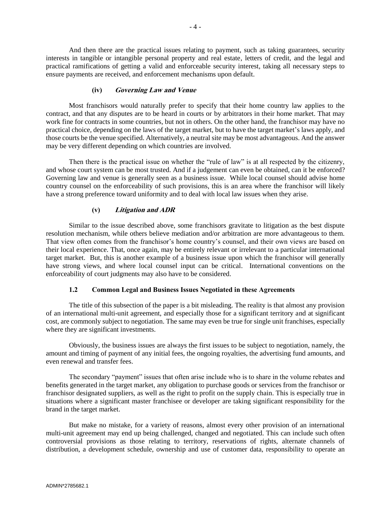And then there are the practical issues relating to payment, such as taking guarantees, security interests in tangible or intangible personal property and real estate, letters of credit, and the legal and practical ramifications of getting a valid and enforceable security interest, taking all necessary steps to ensure payments are received, and enforcement mechanisms upon default.

### **(iv) Governing Law and Venue**

<span id="page-5-0"></span>Most franchisors would naturally prefer to specify that their home country law applies to the contract, and that any disputes are to be heard in courts or by arbitrators in their home market. That may work fine for contracts in some countries, but not in others. On the other hand, the franchisor may have no practical choice, depending on the laws of the target market, but to have the target market's laws apply, and those courts be the venue specified. Alternatively, a neutral site may be most advantageous. And the answer may be very different depending on which countries are involved.

Then there is the practical issue on whether the "rule of law" is at all respected by the citizenry, and whose court system can be most trusted. And if a judgement can even be obtained, can it be enforced? Governing law and venue is generally seen as a business issue. While local counsel should advise home country counsel on the enforceability of such provisions, this is an area where the franchisor will likely have a strong preference toward uniformity and to deal with local law issues when they arise.

### **(v) Litigation and ADR**

<span id="page-5-1"></span>Similar to the issue described above, some franchisors gravitate to litigation as the best dispute resolution mechanism, while others believe mediation and/or arbitration are more advantageous to them. That view often comes from the franchisor's home country's counsel, and their own views are based on their local experience. That, once again, may be entirely relevant or irrelevant to a particular international target market. But, this is another example of a business issue upon which the franchisor will generally have strong views, and where local counsel input can be critical. International conventions on the enforceability of court judgments may also have to be considered.

### **1.2 Common Legal and Business Issues Negotiated in these Agreements**

<span id="page-5-2"></span>The title of this subsection of the paper is a bit misleading. The reality is that almost any provision of an international multi-unit agreement, and especially those for a significant territory and at significant cost, are commonly subject to negotiation. The same may even be true for single unit franchises, especially where they are significant investments.

Obviously, the business issues are always the first issues to be subject to negotiation, namely, the amount and timing of payment of any initial fees, the ongoing royalties, the advertising fund amounts, and even renewal and transfer fees.

The secondary "payment" issues that often arise include who is to share in the volume rebates and benefits generated in the target market, any obligation to purchase goods or services from the franchisor or franchisor designated suppliers, as well as the right to profit on the supply chain. This is especially true in situations where a significant master franchisee or developer are taking significant responsibility for the brand in the target market.

But make no mistake, for a variety of reasons, almost every other provision of an international multi-unit agreement may end up being challenged, changed and negotiated. This can include such often controversial provisions as those relating to territory, reservations of rights, alternate channels of distribution, a development schedule, ownership and use of customer data, responsibility to operate an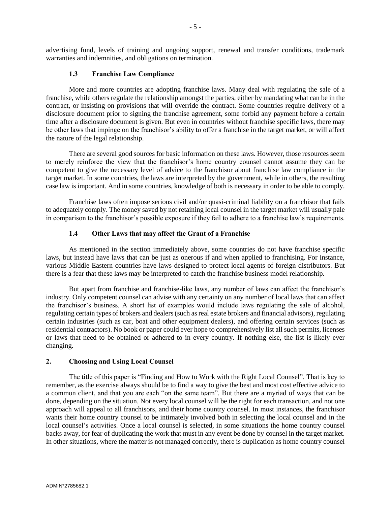advertising fund, levels of training and ongoing support, renewal and transfer conditions, trademark warranties and indemnities, and obligations on termination.

#### **1.3 Franchise Law Compliance**

<span id="page-6-0"></span>More and more countries are adopting franchise laws. Many deal with regulating the sale of a franchise, while others regulate the relationship amongst the parties, either by mandating what can be in the contract, or insisting on provisions that will override the contract. Some countries require delivery of a disclosure document prior to signing the franchise agreement, some forbid any payment before a certain time after a disclosure document is given. But even in countries without franchise specific laws, there may be other laws that impinge on the franchisor's ability to offer a franchise in the target market, or will affect the nature of the legal relationship.

There are several good sources for basic information on these laws. However, those resources seem to merely reinforce the view that the franchisor's home country counsel cannot assume they can be competent to give the necessary level of advice to the franchisor about franchise law compliance in the target market. In some countries, the laws are interpreted by the government, while in others, the resulting case law is important. And in some countries, knowledge of both is necessary in order to be able to comply.

Franchise laws often impose serious civil and/or quasi-criminal liability on a franchisor that fails to adequately comply. The money saved by not retaining local counsel in the target market will usually pale in comparison to the franchisor's possible exposure if they fail to adhere to a franchise law's requirements.

#### **1.4 Other Laws that may affect the Grant of a Franchise**

<span id="page-6-1"></span>As mentioned in the section immediately above, some countries do not have franchise specific laws, but instead have laws that can be just as onerous if and when applied to franchising. For instance, various Middle Eastern countries have laws designed to protect local agents of foreign distributors. But there is a fear that these laws may be interpreted to catch the franchise business model relationship.

But apart from franchise and franchise-like laws, any number of laws can affect the franchisor's industry. Only competent counsel can advise with any certainty on any number of local laws that can affect the franchisor's business. A short list of examples would include laws regulating the sale of alcohol, regulating certain types of brokers and dealers (such as real estate brokers and financial advisors), regulating certain industries (such as car, boat and other equipment dealers), and offering certain services (such as residential contractors). No book or paper could ever hope to comprehensively list all such permits, licenses or laws that need to be obtained or adhered to in every country. If nothing else, the list is likely ever changing.

### <span id="page-6-2"></span>**2. Choosing and Using Local Counsel**

The title of this paper is "Finding and How to Work with the Right Local Counsel". That is key to remember, as the exercise always should be to find a way to give the best and most cost effective advice to a common client, and that you are each "on the same team". But there are a myriad of ways that can be done, depending on the situation. Not every local counsel will be the right for each transaction, and not one approach will appeal to all franchisors, and their home country counsel. In most instances, the franchisor wants their home country counsel to be intimately involved both in selecting the local counsel and in the local counsel's activities. Once a local counsel is selected, in some situations the home country counsel backs away, for fear of duplicating the work that must in any event be done by counsel in the target market. In other situations, where the matter is not managed correctly, there is duplication as home country counsel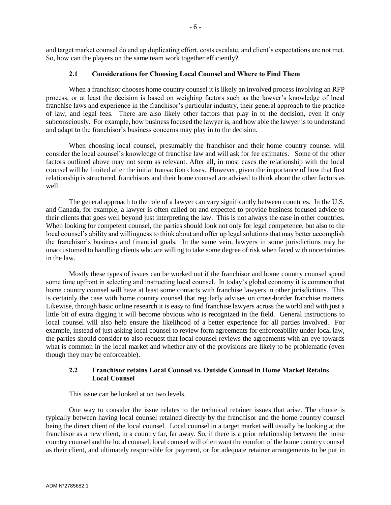and target market counsel do end up duplicating effort, costs escalate, and client's expectations are not met. So, how can the players on the same team work together efficiently?

### **2.1 Considerations for Choosing Local Counsel and Where to Find Them**

<span id="page-7-0"></span>When a franchisor chooses home country counsel it is likely an involved process involving an RFP process, or at least the decision is based on weighing factors such as the lawyer's knowledge of local franchise laws and experience in the franchisor's particular industry, their general approach to the practice of law, and legal fees. There are also likely other factors that play in to the decision, even if only subconsciously. For example, how business focused the lawyer is, and how able the lawyer is to understand and adapt to the franchisor's business concerns may play in to the decision.

When choosing local counsel, presumably the franchisor and their home country counsel will consider the local counsel's knowledge of franchise law and will ask for fee estimates. Some of the other factors outlined above may not seem as relevant. After all, in most cases the relationship with the local counsel will be limited after the initial transaction closes. However, given the importance of how that first relationship is structured, franchisors and their home counsel are advised to think about the other factors as well.

The general approach to the role of a lawyer can vary significantly between countries. In the U.S. and Canada, for example, a lawyer is often called on and expected to provide business focused advice to their clients that goes well beyond just interpreting the law. This is not always the case in other countries. When looking for competent counsel, the parties should look not only for legal competence, but also to the local counsel's ability and willingness to think about and offer up legal solutions that may better accomplish the franchisor's business and financial goals. In the same vein, lawyers in some jurisdictions may be unaccustomed to handling clients who are willing to take some degree of risk when faced with uncertainties in the law.

Mostly these types of issues can be worked out if the franchisor and home country counsel spend some time upfront in selecting and instructing local counsel. In today's global economy it is common that home country counsel will have at least some contacts with franchise lawyers in other jurisdictions. This is certainly the case with home country counsel that regularly advises on cross-border franchise matters. Likewise, through basic online research it is easy to find franchise lawyers across the world and with just a little bit of extra digging it will become obvious who is recognized in the field. General instructions to local counsel will also help ensure the likelihood of a better experience for all parties involved. For example, instead of just asking local counsel to review form agreements for enforceability under local law, the parties should consider to also request that local counsel reviews the agreements with an eye towards what is common in the local market and whether any of the provisions are likely to be problematic (even though they may be enforceable).

### <span id="page-7-1"></span>**2.2 Franchisor retains Local Counsel vs. Outside Counsel in Home Market Retains Local Counsel**

This issue can be looked at on two levels.

One way to consider the issue relates to the technical retainer issues that arise. The choice is typically between having local counsel retained directly by the franchisor and the home country counsel being the direct client of the local counsel. Local counsel in a target market will usually be looking at the franchisor as a new client, in a country far, far away. So, if there is a prior relationship between the home country counsel and the local counsel, local counsel will often want the comfort of the home country counsel as their client, and ultimately responsible for payment, or for adequate retainer arrangements to be put in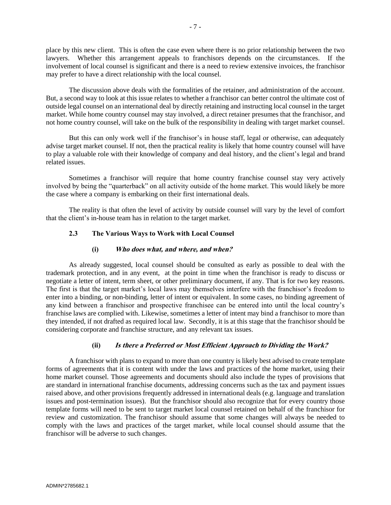place by this new client. This is often the case even where there is no prior relationship between the two lawyers. Whether this arrangement appeals to franchisors depends on the circumstances. If the involvement of local counsel is significant and there is a need to review extensive invoices, the franchisor may prefer to have a direct relationship with the local counsel.

The discussion above deals with the formalities of the retainer, and administration of the account. But, a second way to look at this issue relates to whether a franchisor can better control the ultimate cost of outside legal counsel on an international deal by directly retaining and instructing local counsel in the target market. While home country counsel may stay involved, a direct retainer presumes that the franchisor, and not home country counsel, will take on the bulk of the responsibility in dealing with target market counsel.

But this can only work well if the franchisor's in house staff, legal or otherwise, can adequately advise target market counsel. If not, then the practical reality is likely that home country counsel will have to play a valuable role with their knowledge of company and deal history, and the client's legal and brand related issues.

Sometimes a franchisor will require that home country franchise counsel stay very actively involved by being the "quarterback" on all activity outside of the home market. This would likely be more the case where a company is embarking on their first international deals.

<span id="page-8-0"></span>The reality is that often the level of activity by outside counsel will vary by the level of comfort that the client's in-house team has in relation to the target market.

### **2.3 The Various Ways to Work with Local Counsel**

#### **(i) Who does what, and where, and when?**

<span id="page-8-1"></span>As already suggested, local counsel should be consulted as early as possible to deal with the trademark protection, and in any event, at the point in time when the franchisor is ready to discuss or negotiate a letter of intent, term sheet, or other preliminary document, if any. That is for two key reasons. The first is that the target market's local laws may themselves interfere with the franchisor's freedom to enter into a binding, or non-binding, letter of intent or equivalent. In some cases, no binding agreement of any kind between a franchisor and prospective franchisee can be entered into until the local country's franchise laws are complied with. Likewise, sometimes a letter of intent may bind a franchisor to more than they intended, if not drafted as required local law. Secondly, it is at this stage that the franchisor should be considering corporate and franchise structure, and any relevant tax issues.

### **(ii) Is there a Preferred or Most Efficient Approach to Dividing the Work?**

<span id="page-8-2"></span>A franchisor with plans to expand to more than one country is likely best advised to create template forms of agreements that it is content with under the laws and practices of the home market, using their home market counsel. Those agreements and documents should also include the types of provisions that are standard in international franchise documents, addressing concerns such as the tax and payment issues raised above, and other provisions frequently addressed in international deals (e.g. language and translation issues and post-termination issues). But the franchisor should also recognize that for every country those template forms will need to be sent to target market local counsel retained on behalf of the franchisor for review and customization. The franchisor should assume that some changes will always be needed to comply with the laws and practices of the target market, while local counsel should assume that the franchisor will be adverse to such changes.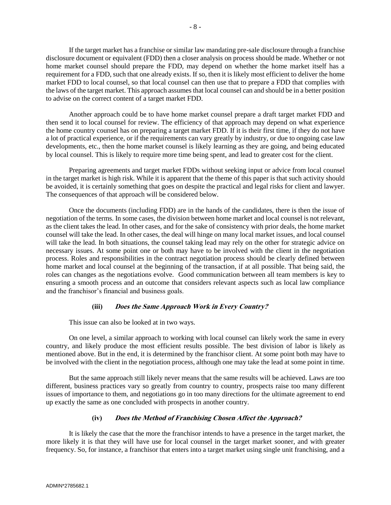If the target market has a franchise or similar law mandating pre-sale disclosure through a franchise disclosure document or equivalent (FDD) then a closer analysis on process should be made. Whether or not home market counsel should prepare the FDD, may depend on whether the home market itself has a requirement for a FDD, such that one already exists. If so, then it is likely most efficient to deliver the home market FDD to local counsel, so that local counsel can then use that to prepare a FDD that complies with the laws of the target market. This approach assumes that local counsel can and should be in a better position to advise on the correct content of a target market FDD.

Another approach could be to have home market counsel prepare a draft target market FDD and then send it to local counsel for review. The efficiency of that approach may depend on what experience the home country counsel has on preparing a target market FDD. If it is their first time, if they do not have a lot of practical experience, or if the requirements can vary greatly by industry, or due to ongoing case law developments, etc., then the home market counsel is likely learning as they are going, and being educated by local counsel. This is likely to require more time being spent, and lead to greater cost for the client.

Preparing agreements and target market FDDs without seeking input or advice from local counsel in the target market is high risk. While it is apparent that the theme of this paper is that such activity should be avoided, it is certainly something that goes on despite the practical and legal risks for client and lawyer. The consequences of that approach will be considered below.

Once the documents (including FDD) are in the hands of the candidates, there is then the issue of negotiation of the terms. In some cases, the division between home market and local counsel is not relevant, as the client takes the lead. In other cases, and for the sake of consistency with prior deals, the home market counsel will take the lead. In other cases, the deal will hinge on many local market issues, and local counsel will take the lead. In both situations, the counsel taking lead may rely on the other for strategic advice on necessary issues. At some point one or both may have to be involved with the client in the negotiation process. Roles and responsibilities in the contract negotiation process should be clearly defined between home market and local counsel at the beginning of the transaction, if at all possible. That being said, the roles can changes as the negotiations evolve. Good communication between all team members is key to ensuring a smooth process and an outcome that considers relevant aspects such as local law compliance and the franchisor's financial and business goals.

### **(iii) Does the Same Approach Work in Every Country?**

<span id="page-9-0"></span>This issue can also be looked at in two ways.

On one level, a similar approach to working with local counsel can likely work the same in every country, and likely produce the most efficient results possible. The best division of labor is likely as mentioned above. But in the end, it is determined by the franchisor client. At some point both may have to be involved with the client in the negotiation process, although one may take the lead at some point in time.

But the same approach still likely never means that the same results will be achieved. Laws are too different, business practices vary so greatly from country to country, prospects raise too many different issues of importance to them, and negotiations go in too many directions for the ultimate agreement to end up exactly the same as one concluded with prospects in another country.

# **(iv) Does the Method of Franchising Chosen Affect the Approach?**

<span id="page-9-1"></span>It is likely the case that the more the franchisor intends to have a presence in the target market, the more likely it is that they will have use for local counsel in the target market sooner, and with greater frequency. So, for instance, a franchisor that enters into a target market using single unit franchising, and a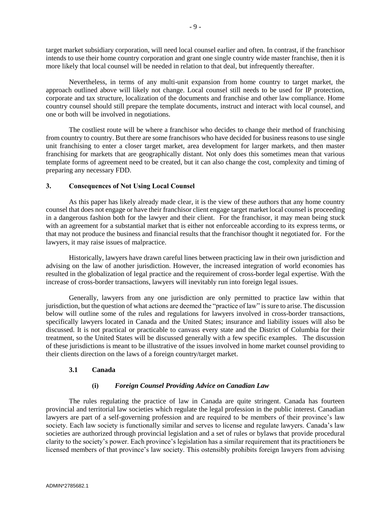target market subsidiary corporation, will need local counsel earlier and often. In contrast, if the franchisor intends to use their home country corporation and grant one single country wide master franchise, then it is more likely that local counsel will be needed in relation to that deal, but infrequently thereafter.

Nevertheless, in terms of any multi-unit expansion from home country to target market, the approach outlined above will likely not change. Local counsel still needs to be used for IP protection, corporate and tax structure, localization of the documents and franchise and other law compliance. Home country counsel should still prepare the template documents, instruct and interact with local counsel, and one or both will be involved in negotiations.

The costliest route will be where a franchisor who decides to change their method of franchising from country to country. But there are some franchisors who have decided for business reasons to use single unit franchising to enter a closer target market, area development for larger markets, and then master franchising for markets that are geographically distant. Not only does this sometimes mean that various template forms of agreement need to be created, but it can also change the cost, complexity and timing of preparing any necessary FDD.

# <span id="page-10-0"></span>**3. Consequences of Not Using Local Counsel**

As this paper has likely already made clear, it is the view of these authors that any home country counsel that does not engage or have their franchisor client engage target market local counsel is proceeding in a dangerous fashion both for the lawyer and their client. For the franchisor, it may mean being stuck with an agreement for a substantial market that is either not enforceable according to its express terms, or that may not produce the business and financial results that the franchisor thought it negotiated for. For the lawyers, it may raise issues of malpractice.

Historically, lawyers have drawn careful lines between practicing law in their own jurisdiction and advising on the law of another jurisdiction. However, the increased integration of world economies has resulted in the globalization of legal practice and the requirement of cross-border legal expertise. With the increase of cross-border transactions, lawyers will inevitably run into foreign legal issues.

Generally, lawyers from any one jurisdiction are only permitted to practice law within that jurisdiction, but the question of what actions are deemed the "practice of law" issure to arise. The discussion below will outline some of the rules and regulations for lawyers involved in cross-border transactions, specifically lawyers located in Canada and the United States; insurance and liability issues will also be discussed. It is not practical or practicable to canvass every state and the District of Columbia for their treatment, so the United States will be discussed generally with a few specific examples. The discussion of these jurisdictions is meant to be illustrative of the issues involved in home market counsel providing to their clients direction on the laws of a foreign country/target market.

### <span id="page-10-1"></span>**3.1 Canada**

### **(i)** *Foreign Counsel Providing Advice on Canadian Law*

<span id="page-10-2"></span>The rules regulating the practice of law in Canada are quite stringent. Canada has fourteen provincial and territorial law societies which regulate the legal profession in the public interest. Canadian lawyers are part of a self-governing profession and are required to be members of their province's law society. Each law society is functionally similar and serves to license and regulate lawyers. Canada's law societies are authorized through provincial legislation and a set of rules or bylaws that provide procedural clarity to the society's power. Each province's legislation has a similar requirement that its practitioners be licensed members of that province's law society. This ostensibly prohibits foreign lawyers from advising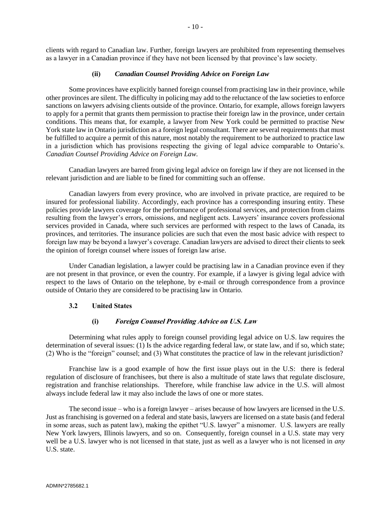clients with regard to Canadian law. Further, foreign lawyers are prohibited from representing themselves as a lawyer in a Canadian province if they have not been licensed by that province's law society.

### **(ii)** *Canadian Counsel Providing Advice on Foreign Law*

<span id="page-11-0"></span>Some provinces have explicitly banned foreign counsel from practising law in their province, while other provinces are silent. The difficulty in policing may add to the reluctance of the law societies to enforce sanctions on lawyers advising clients outside of the province. Ontario, for example, allows foreign lawyers to apply for a permit that grants them permission to practise their foreign law in the province, under certain conditions. This means that, for example, a lawyer from New York could be permitted to practise New York state law in Ontario jurisdiction as a foreign legal consultant. There are several requirements that must be fulfilled to acquire a permit of this nature, most notably the requirement to be authorized to practice law in a jurisdiction which has provisions respecting the giving of legal advice comparable to Ontario's. *Canadian Counsel Providing Advice on Foreign Law.*

Canadian lawyers are barred from giving legal advice on foreign law if they are not licensed in the relevant jurisdiction and are liable to be fined for committing such an offense.

Canadian lawyers from every province, who are involved in private practice, are required to be insured for professional liability. Accordingly, each province has a corresponding insuring entity. These policies provide lawyers coverage for the performance of professional services, and protection from claims resulting from the lawyer's errors, omissions, and negligent acts. Lawyers' insurance covers professional services provided in Canada, where such services are performed with respect to the laws of Canada, its provinces, and territories. The insurance policies are such that even the most basic advice with respect to foreign law may be beyond a lawyer's coverage. Canadian lawyers are advised to direct their clients to seek the opinion of foreign counsel where issues of foreign law arise.

Under Canadian legislation, a lawyer could be practising law in a Canadian province even if they are not present in that province, or even the country. For example, if a lawyer is giving legal advice with respect to the laws of Ontario on the telephone, by e-mail or through correspondence from a province outside of Ontario they are considered to be practising law in Ontario.

### <span id="page-11-1"></span>**3.2 United States**

#### **(i) Foreign Counsel Providing Advice on U.S. Law**

<span id="page-11-2"></span>Determining what rules apply to foreign counsel providing legal advice on U.S. law requires the determination of several issues: (1) Is the advice regarding federal law, or state law, and if so, which state; (2) Who is the "foreign" counsel; and (3) What constitutes the practice of law in the relevant jurisdiction?

Franchise law is a good example of how the first issue plays out in the U.S: there is federal regulation of disclosure of franchisees, but there is also a multitude of state laws that regulate disclosure, registration and franchise relationships. Therefore, while franchise law advice in the U.S. will almost always include federal law it may also include the laws of one or more states.

The second issue – who is a foreign lawyer – arises because of how lawyers are licensed in the U.S. Just as franchising is governed on a federal and state basis, lawyers are licensed on a state basis (and federal in some areas, such as patent law), making the epithet "U.S. lawyer" a misnomer. U.S. lawyers are really New York lawyers, Illinois lawyers, and so on. Consequently, foreign counsel in a U.S. state may very well be a U.S. lawyer who is not licensed in that state, just as well as a lawyer who is not licensed in *any*  U.S. state.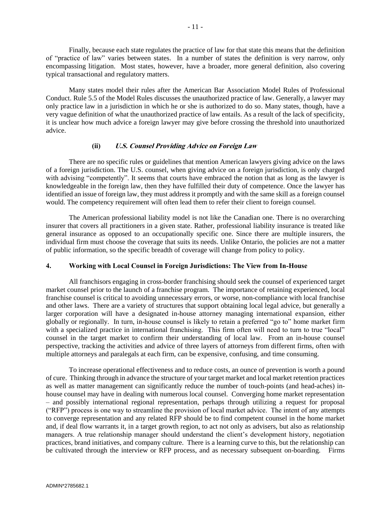Finally, because each state regulates the practice of law for that state this means that the definition of "practice of law" varies between states. In a number of states the definition is very narrow, only encompassing litigation. Most states, however, have a broader, more general definition, also covering typical transactional and regulatory matters.

Many states model their rules after the American Bar Association Model Rules of Professional Conduct. Rule 5.5 of the Model Rules discusses the unauthorized practice of law. Generally, a lawyer may only practice law in a jurisdiction in which he or she is authorized to do so. Many states, though, have a very vague definition of what the unauthorized practice of law entails. As a result of the lack of specificity, it is unclear how much advice a foreign lawyer may give before crossing the threshold into unauthorized advice.

### **(ii) U.S. Counsel Providing Advice on Foreign Law**

<span id="page-12-0"></span>There are no specific rules or guidelines that mention American lawyers giving advice on the laws of a foreign jurisdiction. The U.S. counsel, when giving advice on a foreign jurisdiction, is only charged with advising "competently". It seems that courts have embraced the notion that as long as the lawyer is knowledgeable in the foreign law, then they have fulfilled their duty of competence. Once the lawyer has identified an issue of foreign law, they must address it promptly and with the same skill as a foreign counsel would. The competency requirement will often lead them to refer their client to foreign counsel.

The American professional liability model is not like the Canadian one. There is no overarching insurer that covers all practitioners in a given state. Rather, professional liability insurance is treated like general insurance as opposed to an occupationally specific one. Since there are multiple insurers, the individual firm must choose the coverage that suits its needs. Unlike Ontario, the policies are not a matter of public information, so the specific breadth of coverage will change from policy to policy.

#### <span id="page-12-1"></span>**4. Working with Local Counsel in Foreign Jurisdictions: The View from In-House**

All franchisors engaging in cross-border franchising should seek the counsel of experienced target market counsel prior to the launch of a franchise program. The importance of retaining experienced, local franchise counsel is critical to avoiding unnecessary errors, or worse, non-compliance with local franchise and other laws. There are a variety of structures that support obtaining local legal advice, but generally a larger corporation will have a designated in-house attorney managing international expansion, either globally or regionally. In turn, in-house counsel is likely to retain a preferred "go to" home market firm with a specialized practice in international franchising. This firm often will need to turn to true "local" counsel in the target market to confirm their understanding of local law. From an in-house counsel perspective, tracking the activities and advice of three layers of attorneys from different firms, often with multiple attorneys and paralegals at each firm, can be expensive, confusing, and time consuming.

To increase operational effectiveness and to reduce costs, an ounce of prevention is worth a pound of cure. Thinking through in advance the structure of your target market and local market retention practices as well as matter management can significantly reduce the number of touch-points (and head-aches) inhouse counsel may have in dealing with numerous local counsel. Converging home market representation – and possibly international regional representation, perhaps through utilizing a request for proposal ("RFP") process is one way to streamline the provision of local market advice. The intent of any attempts to converge representation and any related RFP should be to find competent counsel in the home market and, if deal flow warrants it, in a target growth region, to act not only as advisers, but also as relationship managers. A true relationship manager should understand the client's development history, negotiation practices, brand initiatives, and company culture. There is a learning curve to this, but the relationship can be cultivated through the interview or RFP process, and as necessary subsequent on-boarding. Firms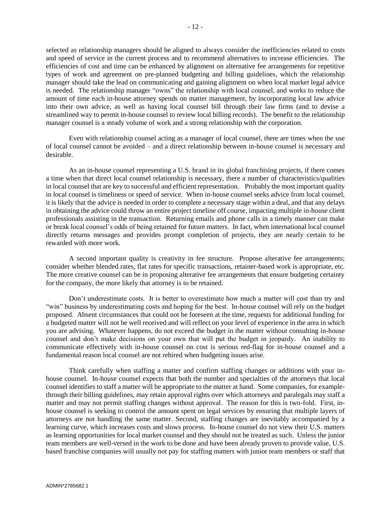selected as relationship managers should be aligned to always consider the inefficiencies related to costs and speed of service in the current process and to recommend alternatives to increase efficiencies. The efficiencies of cost and time can be enhanced by alignment on alternative fee arrangements for repetitive types of work and agreement on pre-planned budgeting and billing guidelines, which the relationship manager should take the lead on communicating and gaining alignment on when local market legal advice is needed. The relationship manager "owns" the relationship with local counsel, and works to reduce the amount of time each in-house attorney spends on matter management, by incorporating local law advice into their own advice, as well as having local counsel bill through their law firms (and to devise a streamlined way to permit in-house counsel to review local billing records). The benefit to the relationship manager counsel is a steady volume of work and a strong relationship with the corporation.

Even with relationship counsel acting as a manager of local counsel, there are times when the use of local counsel cannot be avoided – and a direct relationship between in-house counsel is necessary and desirable.

As an in-house counsel representing a U.S. brand in its global franchising projects, if there comes a time when that direct local counsel relationship is necessary, there a number of characteristics/qualities in local counsel that are key to successful and efficient representation. Probably the most important quality in local counsel is timeliness or speed of service. When in-house counsel seeks advice from local counsel, it is likely that the advice is needed in order to complete a necessary stage within a deal, and that any delays in obtaining the advice could throw an entire project timeline off course, impacting multiple in-house client professionals assisting in the transaction. Returning emails and phone calls in a timely manner can make or break local counsel's odds of being retained for future matters. In fact, when international local counsel directly returns messages and provides prompt completion of projects, they are nearly certain to be rewarded with more work.

A second important quality is creativity in fee structure. Propose alterative fee arrangements; consider whether blended rates, flat rates for specific transactions, retainer-based work is appropriate, etc. The more creative counsel can be in proposing alterative fee arrangements that ensure budgeting certainty for the company, the more likely that attorney is to be retained.

Don't underestimate costs. It is better to overestimate how much a matter will cost than try and "win" business by underestimating costs and hoping for the best. In-house counsel will rely on the budget proposed. Absent circumstances that could not be foreseen at the time, requests for additional funding for a budgeted matter will not be well received and will reflect on your level of experience in the area in which you are advising. Whatever happens, do not exceed the budget in the matter without consulting in-house counsel and don't make decisions on your own that will put the budget in jeopardy. An inability to communicate effectively with in-house counsel on cost is serious red-flag for in-house counsel and a fundamental reason local counsel are not rehired when budgeting issues arise.

Think carefully when staffing a matter and confirm staffing changes or additions with your inhouse counsel. In-house counsel expects that both the number and specialties of the attorneys that local counsel identifies to staff a matter will be appropriate to the matter at hand. Some companies, for examplethrough their billing guidelines, may retain approval rights over which attorneys and paralegals may staff a matter and may not permit staffing changes without approval. The reason for this is two-fold. First, inhouse counsel is seeking to control the amount spent on legal services by ensuring that multiple layers of attorneys are not handling the same matter. Second, staffing changes are inevitably accompanied by a learning curve, which increases costs and slows process. In-house counsel do not view their U.S. matters as learning opportunities for local market counsel and they should not be treated as such. Unless the junior team members are well-versed in the work to be done and have been already proven to provide value, U.S. based franchise companies will usually not pay for staffing matters with junior team members or staff that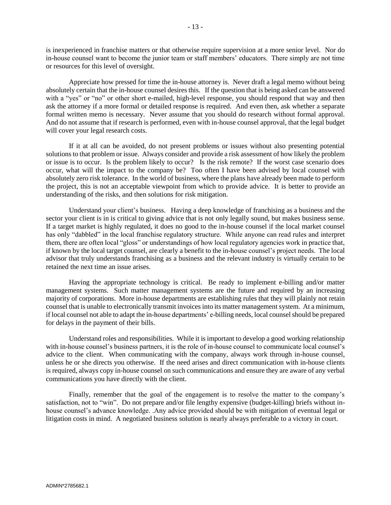is inexperienced in franchise matters or that otherwise require supervision at a more senior level. Nor do in-house counsel want to become the junior team or staff members' educators. There simply are not time or resources for this level of oversight.

Appreciate how pressed for time the in-house attorney is. Never draft a legal memo without being absolutely certain that the in-house counsel desires this. If the question that is being asked can be answered with a "yes" or "no" or other short e-mailed, high-level response, you should respond that way and then ask the attorney if a more formal or detailed response is required. And even then, ask whether a separate formal written memo is necessary. Never assume that you should do research without formal approval. And do not assume that if research is performed, even with in-house counsel approval, that the legal budget will cover your legal research costs.

If it at all can be avoided, do not present problems or issues without also presenting potential solutions to that problem or issue. Always consider and provide a risk assessment of how likely the problem or issue is to occur. Is the problem likely to occur? Is the risk remote? If the worst case scenario does occur, what will the impact to the company be? Too often I have been advised by local counsel with absolutely zero risk tolerance. In the world of business, where the plans have already been made to perform the project, this is not an acceptable viewpoint from which to provide advice. It is better to provide an understanding of the risks, and then solutions for risk mitigation.

Understand your client's business. Having a deep knowledge of franchising as a business and the sector your client is in is critical to giving advice that is not only legally sound, but makes business sense. If a target market is highly regulated, it does no good to the in-house counsel if the local market counsel has only "dabbled" in the local franchise regulatory structure. While anyone can read rules and interpret them, there are often local "gloss" or understandings of how local regulatory agencies work in practice that, if known by the local target counsel, are clearly a benefit to the in-house counsel's project needs. The local advisor that truly understands franchising as a business and the relevant industry is virtually certain to be retained the next time an issue arises.

Having the appropriate technology is critical. Be ready to implement e-billing and/or matter management systems. Such matter management systems are the future and required by an increasing majority of corporations. More in-house departments are establishing rules that they will plainly not retain counsel that is unable to electronically transmit invoices into its matter management system. At a minimum, if local counsel not able to adapt the in-house departments' e-billing needs, local counsel should be prepared for delays in the payment of their bills.

Understand roles and responsibilities. While it is important to develop a good working relationship with in-house counsel's business partners, it is the role of in-house counsel to communicate local counsel's advice to the client. When communicating with the company, always work through in-house counsel, unless he or she directs you otherwise. If the need arises and direct communication with in-house clients is required, always copy in-house counsel on such communications and ensure they are aware of any verbal communications you have directly with the client.

Finally, remember that the goal of the engagement is to resolve the matter to the company's satisfaction, not to "win". Do not prepare and/or file lengthy expensive (budget-killing) briefs without inhouse counsel's advance knowledge. .Any advice provided should be with mitigation of eventual legal or litigation costs in mind. A negotiated business solution is nearly always preferable to a victory in court.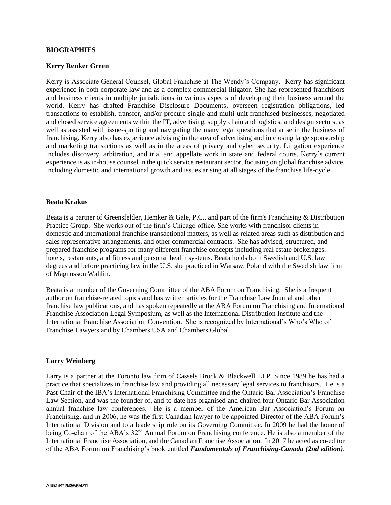#### **BIOGRAPHIES**

#### **Kerry Renker Green**

Kerry is Associate General Counsel, Global Franchise at The Wendy's Company. Kerry has significant experience in both corporate law and as a complex commercial litigator. She has represented franchisors and business clients in multiple jurisdictions in various aspects of developing their business around the world. Kerry has drafted Franchise Disclosure Documents, overseen registration obligations, led transactions to establish, transfer, and/or procure single and multi-unit franchised businesses, negotiated and closed service agreements within the IT, advertising, supply chain and logistics, and design sectors, as well as assisted with issue-spotting and navigating the many legal questions that arise in the business of franchising. Kerry also has experience advising in the area of advertising and in closing large sponsorship and marketing transactions as well as in the areas of privacy and cyber security. Litigation experience includes discovery, arbitration, and trial and appellate work in state and federal courts. Kerry's current experience is as in-house counsel in the quick service restaurant sector, focusing on global franchise advice, including domestic and international growth and issues arising at all stages of the franchise life-cycle.

#### **Beata Krakus**

Beata is a partner of Greensfelder, Hemker & Gale, P.C., and part of the firm's Franchising & Distribution Practice Group. She works out of the firm's Chicago office. She works with franchisor clients in domestic and international franchise transactional matters, as well as related areas such as distribution and sales representative arrangements, and other commercial contracts. She has advised, structured, and prepared franchise programs for many different franchise concepts including real estate brokerages, hotels, restaurants, and fitness and personal health systems. Beata holds both Swedish and U.S. law degrees and before practicing law in the U.S. she practiced in Warsaw, Poland with the Swedish law firm of Magnusson Wahlin.

Beata is a member of the Governing Committee of the ABA Forum on Franchising. She is a frequent author on franchise-related topics and has written articles for the Franchise Law Journal and other franchise law publications, and has spoken repeatedly at the ABA Forum on Franchising and International Franchise Association Legal Symposium, as well as the International Distribution Institute and the International Franchise Association Convention. She is recognized by International's Who's Who of Franchise Lawyers and by Chambers USA and Chambers Global.

#### **Larry Weinberg**

Larry is a partner at the Toronto law firm of Cassels Brock & Blackwell LLP. Since 1989 he has had a practice that specializes in franchise law and providing all necessary legal services to franchisors. He is a Past Chair of the IBA's International Franchising Committee and the Ontario Bar Association's Franchise Law Section, and was the founder of, and to date has organised and chaired four Ontario Bar Association annual franchise law conferences. He is a member of the American Bar Association's Forum on Franchising, and in 2006, he was the first Canadian lawyer to be appointed Director of the ABA Forum's International Division and to a leadership role on its Governing Committee. In 2009 he had the honor of being Co-chair of the ABA's 32<sup>nd</sup> Annual Forum on Franchising conference. He is also a member of the International Franchise Association, and the Canadian Franchise Association. In 2017 he acted as co-editor of the ABA Forum on Franchising's book entitled *Fundamentals of Franchising-Canada (2nd edition)*.